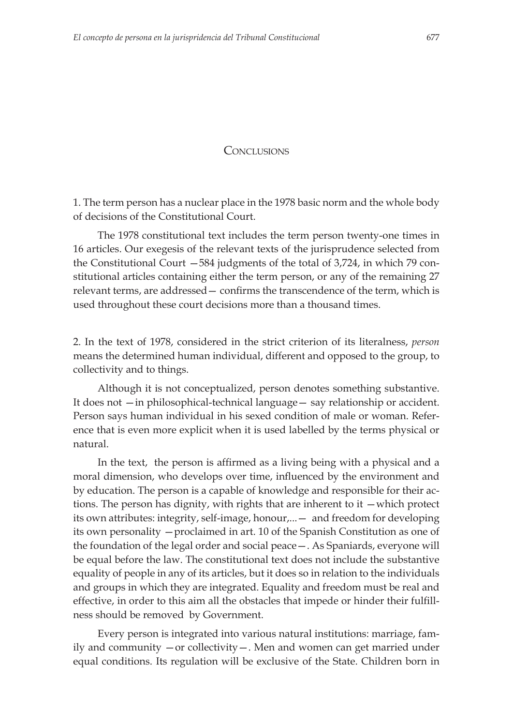## **CONCLUSIONS**

 1. The term person has a nuclear place in the 1978 basic norm and the whole body of decisions of the Constitutional Court.

The 1978 constitutional text includes the term person twenty-one times in 16 articles. Our exegesis of the relevant texts of the jurisprudence selected from the Constitutional Court —584 judgments of the total of 3,724, in which 79 constitutional articles containing either the term person, or any of the remaining 27 relevant terms, are addressed – confirms the transcendence of the term, which is used throughout these court decisions more than a thousand times.

2. In the text of 1978, considered in the strict criterion of its literalness, *person* means the determined human individual, different and opposed to the group, to collectivity and to things.

Although it is not conceptualized, person denotes something substantive. It does not —in philosophical-technical language— say relationship or accident. Person says human individual in his sexed condition of male or woman. Reference that is even more explicit when it is used labelled by the terms physical or natural.

In the text, the person is affirmed as a living being with a physical and a moral dimension, who develops over time, influenced by the environment and by education. The person is a capable of knowledge and responsible for their actions. The person has dignity, with rights that are inherent to it —which protect its own attributes: integrity, self-image, honour,...— and freedom for developing its own personality —proclaimed in art. 10 of the Spanish Constitution as one of the foundation of the legal order and social peace—. As Spaniards, everyone will be equal before the law. The constitutional text does not include the substantive equality of people in any of its articles, but it does so in relation to the individuals and groups in which they are integrated. Equality and freedom must be real and effective, in order to this aim all the obstacles that impede or hinder their fulfillness should be removed by Government.

Every person is integrated into various natural institutions: marriage, family and community —or collectivity—. Men and women can get married under equal conditions. Its regulation will be exclusive of the State. Children born in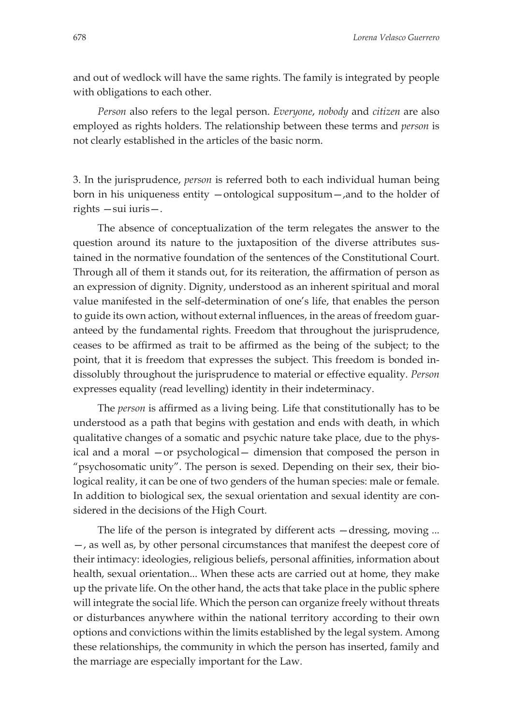and out of wedlock will have the same rights. The family is integrated by people with obligations to each other.

*Person* also refers to the legal person. *Everyone*, *nobody* and *citizen* are also employed as rights holders. The relationship between these terms and *person* is not clearly established in the articles of the basic norm.

3. In the jurisprudence, *person* is referred both to each individual human being born in his uniqueness entity —ontological suppositum—,and to the holder of rights —sui iuris—.

The absence of conceptualization of the term relegates the answer to the question around its nature to the juxtaposition of the diverse attributes sustained in the normative foundation of the sentences of the Constitutional Court. Through all of them it stands out, for its reiteration, the affirmation of person as an expression of dignity. Dignity, understood as an inherent spiritual and moral value manifested in the self-determination of one's life, that enables the person to guide its own action, without external influences, in the areas of freedom guaranteed by the fundamental rights. Freedom that throughout the jurisprudence, ceases to be affirmed as trait to be affirmed as the being of the subject; to the point, that it is freedom that expresses the subject. This freedom is bonded indissolubly throughout the jurisprudence to material or effective equality. *Person* expresses equality (read levelling) identity in their indeterminacy.

The *person* is affirmed as a living being. Life that constitutionally has to be understood as a path that begins with gestation and ends with death, in which qualitative changes of a somatic and psychic nature take place, due to the physical and a moral —or psychological— dimension that composed the person in "psychosomatic unity". The person is sexed. Depending on their sex, their biological reality, it can be one of two genders of the human species: male or female. In addition to biological sex, the sexual orientation and sexual identity are considered in the decisions of the High Court.

The life of the person is integrated by different acts  $-\frac{1}{2}$  moving ... —, as well as, by other personal circumstances that manifest the deepest core of their intimacy: ideologies, religious beliefs, personal affinities, information about health, sexual orientation... When these acts are carried out at home, they make up the private life. On the other hand, the acts that take place in the public sphere will integrate the social life. Which the person can organize freely without threats or disturbances anywhere within the national territory according to their own options and convictions within the limits established by the legal system. Among these relationships, the community in which the person has inserted, family and the marriage are especially important for the Law.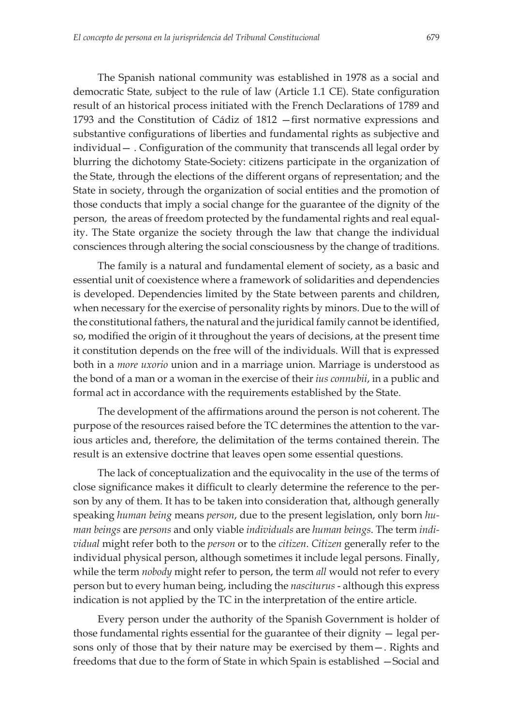The Spanish national community was established in 1978 as a social and democratic State, subject to the rule of law (Article 1.1 CE). State configuration result of an historical process initiated with the French Declarations of 1789 and 1793 and the Constitution of Cádiz of 1812 –first normative expressions and substantive configurations of liberties and fundamental rights as subjective and  $individual -$ . Configuration of the community that transcends all legal order by blurring the dichotomy State-Society: citizens participate in the organization of the State, through the elections of the different organs of representation; and the State in society, through the organization of social entities and the promotion of those conducts that imply a social change for the guarantee of the dignity of the person, the areas of freedom protected by the fundamental rights and real equality. The State organize the society through the law that change the individual consciences through altering the social consciousness by the change of traditions.

The family is a natural and fundamental element of society, as a basic and essential unit of coexistence where a framework of solidarities and dependencies is developed. Dependencies limited by the State between parents and children, when necessary for the exercise of personality rights by minors. Due to the will of the constitutional fathers, the natural and the juridical family cannot be identified, so, modified the origin of it throughout the years of decisions, at the present time it constitution depends on the free will of the individuals. Will that is expressed both in a *more uxorio* union and in a marriage union. Marriage is understood as the bond of a man or a woman in the exercise of their *ius connubii*, in a public and formal act in accordance with the requirements established by the State.

The development of the affirmations around the person is not coherent. The purpose of the resources raised before the TC determines the attention to the various articles and, therefore, the delimitation of the terms contained therein. The result is an extensive doctrine that leaves open some essential questions.

The lack of conceptualization and the equivocality in the use of the terms of close significance makes it difficult to clearly determine the reference to the person by any of them. It has to be taken into consideration that, although generally speaking *human being* means *person*, due to the present legislation, only born *human beings* are *persons* and only viable *individuals* are *human beings*. The term *individual* might refer both to the *person* or to the *citizen*. *Citizen* generally refer to the individual physical person, although sometimes it include legal persons. Finally, while the term *nobody* might refer to person, the term *all* would not refer to every person but to every human being, including the *nasciturus* - although this express indication is not applied by the TC in the interpretation of the entire article.

Every person under the authority of the Spanish Government is holder of those fundamental rights essential for the guarantee of their dignity — legal persons only of those that by their nature may be exercised by them—. Rights and freedoms that due to the form of State in which Spain is established —Social and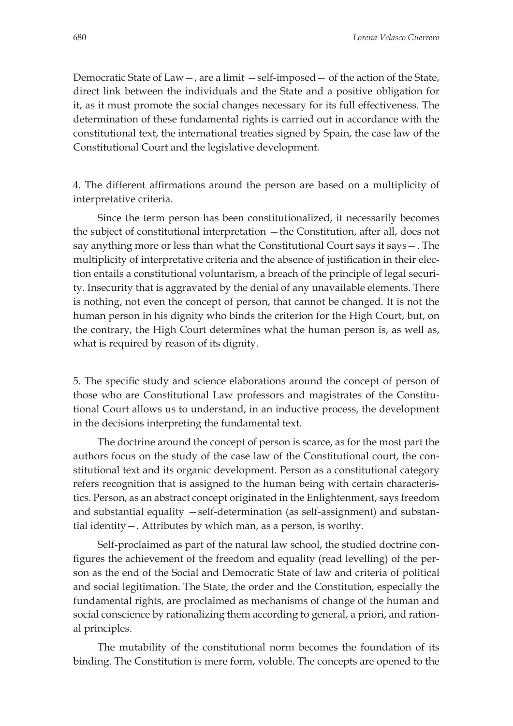Democratic State of Law—, are a limit —self-imposed— of the action of the State, direct link between the individuals and the State and a positive obligation for it, as it must promote the social changes necessary for its full effectiveness. The determination of these fundamental rights is carried out in accordance with the constitutional text, the international treaties signed by Spain, the case law of the Constitutional Court and the legislative development.

4. The different affirmations around the person are based on a multiplicity of interpretative criteria.

Since the term person has been constitutionalized, it necessarily becomes the subject of constitutional interpretation —the Constitution, after all, does not say anything more or less than what the Constitutional Court says it says—. The multiplicity of interpretative criteria and the absence of justification in their election entails a constitutional voluntarism, a breach of the principle of legal security. Insecurity that is aggravated by the denial of any unavailable elements. There is nothing, not even the concept of person, that cannot be changed. It is not the human person in his dignity who binds the criterion for the High Court, but, on the contrary, the High Court determines what the human person is, as well as, what is required by reason of its dignity.

5. The specific study and science elaborations around the concept of person of those who are Constitutional Law professors and magistrates of the Constitutional Court allows us to understand, in an inductive process, the development in the decisions interpreting the fundamental text.

The doctrine around the concept of person is scarce, as for the most part the authors focus on the study of the case law of the Constitutional court, the constitutional text and its organic development. Person as a constitutional category refers recognition that is assigned to the human being with certain characteristics. Person, as an abstract concept originated in the Enlightenment, says freedom and substantial equality —self-determination (as self-assignment) and substantial identity—. Attributes by which man, as a person, is worthy.

Self-proclaimed as part of the natural law school, the studied doctrine configures the achievement of the freedom and equality (read levelling) of the person as the end of the Social and Democratic State of law and criteria of political and social legitimation. The State, the order and the Constitution, especially the fundamental rights, are proclaimed as mechanisms of change of the human and social conscience by rationalizing them according to general, a priori, and rational principles.

The mutability of the constitutional norm becomes the foundation of its binding. The Constitution is mere form, voluble. The concepts are opened to the